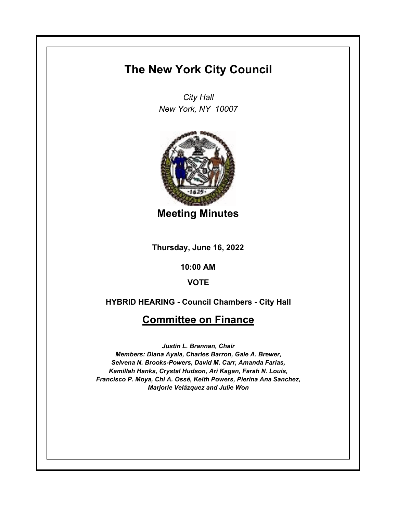## **The New York City Council**

*City Hall New York, NY 10007*



**Meeting Minutes**

**Thursday, June 16, 2022**

**10:00 AM**

**VOTE**

**HYBRID HEARING - Council Chambers - City Hall**

## **Committee on Finance**

*Justin L. Brannan, Chair Members: Diana Ayala, Charles Barron, Gale A. Brewer, Selvena N. Brooks-Powers, David M. Carr, Amanda Farias, Kamillah Hanks, Crystal Hudson, Ari Kagan, Farah N. Louis, Francisco P. Moya, Chi A. Ossé, Keith Powers, Pierina Ana Sanchez, Marjorie Velázquez and Julie Won*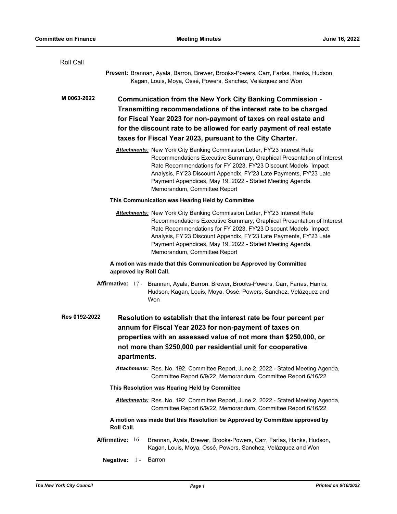| Roll Call                                                                                                                                                                                                                                                                                                                                                                                      |  |
|------------------------------------------------------------------------------------------------------------------------------------------------------------------------------------------------------------------------------------------------------------------------------------------------------------------------------------------------------------------------------------------------|--|
| Present: Brannan, Ayala, Barron, Brewer, Brooks-Powers, Carr, Farías, Hanks, Hudson,<br>Kagan, Louis, Moya, Ossé, Powers, Sanchez, Velázquez and Won                                                                                                                                                                                                                                           |  |
| M 0063-2022<br><b>Communication from the New York City Banking Commission -</b><br>Transmitting recommendations of the interest rate to be charged<br>for Fiscal Year 2023 for non-payment of taxes on real estate and<br>for the discount rate to be allowed for early payment of real estate<br>taxes for Fiscal Year 2023, pursuant to the City Charter.                                    |  |
| <b>Attachments:</b> New York City Banking Commission Letter, FY'23 Interest Rate<br>Recommendations Executive Summary, Graphical Presentation of Interest<br>Rate Recommendations for FY 2023, FY'23 Discount Models Impact<br>Analysis, FY'23 Discount Appendix, FY'23 Late Payments, FY'23 Late<br>Payment Appendices, May 19, 2022 - Stated Meeting Agenda,<br>Memorandum, Committee Report |  |
| This Communication was Hearing Held by Committee                                                                                                                                                                                                                                                                                                                                               |  |
| <b>Attachments:</b> New York City Banking Commission Letter, FY'23 Interest Rate<br>Recommendations Executive Summary, Graphical Presentation of Interest<br>Rate Recommendations for FY 2023, FY'23 Discount Models Impact<br>Analysis, FY'23 Discount Appendix, FY'23 Late Payments, FY'23 Late<br>Payment Appendices, May 19, 2022 - Stated Meeting Agenda,<br>Memorandum, Committee Report |  |
| A motion was made that this Communication be Approved by Committee<br>approved by Roll Call.                                                                                                                                                                                                                                                                                                   |  |
| Affirmative: 17 - Brannan, Ayala, Barron, Brewer, Brooks-Powers, Carr, Farías, Hanks,<br>Hudson, Kagan, Louis, Moya, Ossé, Powers, Sanchez, Velázquez and<br>Won                                                                                                                                                                                                                               |  |
| Res 0192-2022<br>Resolution to establish that the interest rate be four percent per<br>annum for Fiscal Year 2023 for non-payment of taxes on<br>properties with an assessed value of not more than \$250,000, or<br>not more than \$250,000 per residential unit for cooperative<br>apartments.                                                                                               |  |
| Attachments: Res. No. 192, Committee Report, June 2, 2022 - Stated Meeting Agenda,<br>Committee Report 6/9/22, Memorandum, Committee Report 6/16/22                                                                                                                                                                                                                                            |  |
| This Resolution was Hearing Held by Committee                                                                                                                                                                                                                                                                                                                                                  |  |
| Attachments: Res. No. 192, Committee Report, June 2, 2022 - Stated Meeting Agenda,<br>Committee Report 6/9/22, Memorandum, Committee Report 6/16/22                                                                                                                                                                                                                                            |  |
| A motion was made that this Resolution be Approved by Committee approved by<br>Roll Call.                                                                                                                                                                                                                                                                                                      |  |
| Affirmative: 16 - Brannan, Ayala, Brewer, Brooks-Powers, Carr, Farías, Hanks, Hudson,<br>Kagan, Louis, Moya, Ossé, Powers, Sanchez, Velázquez and Won                                                                                                                                                                                                                                          |  |
| Negative:<br>$1 -$<br>Barron                                                                                                                                                                                                                                                                                                                                                                   |  |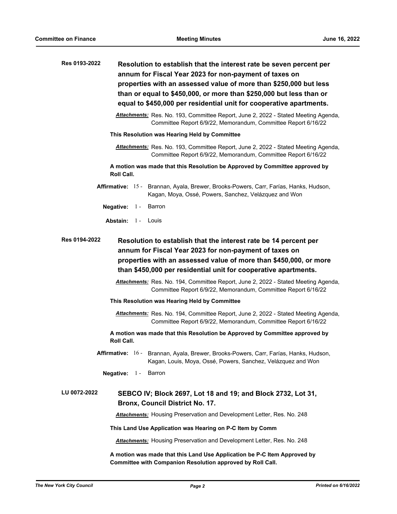| Res 0193-2022                                                                                                                                                                                  | Resolution to establish that the interest rate be seven percent per<br>annum for Fiscal Year 2023 for non-payment of taxes on                              |  |
|------------------------------------------------------------------------------------------------------------------------------------------------------------------------------------------------|------------------------------------------------------------------------------------------------------------------------------------------------------------|--|
|                                                                                                                                                                                                | properties with an assessed value of more than \$250,000 but less                                                                                          |  |
|                                                                                                                                                                                                | than or equal to \$450,000, or more than \$250,000 but less than or                                                                                        |  |
|                                                                                                                                                                                                | equal to \$450,000 per residential unit for cooperative apartments.                                                                                        |  |
|                                                                                                                                                                                                | Attachments: Res. No. 193, Committee Report, June 2, 2022 - Stated Meeting Agenda,<br>Committee Report 6/9/22, Memorandum, Committee Report 6/16/22        |  |
| This Resolution was Hearing Held by Committee                                                                                                                                                  |                                                                                                                                                            |  |
|                                                                                                                                                                                                | Attachments: Res. No. 193, Committee Report, June 2, 2022 - Stated Meeting Agenda,<br>Committee Report 6/9/22, Memorandum, Committee Report 6/16/22        |  |
| A motion was made that this Resolution be Approved by Committee approved by<br><b>Roll Call.</b>                                                                                               |                                                                                                                                                            |  |
|                                                                                                                                                                                                | Affirmative: 15 - Brannan, Ayala, Brewer, Brooks-Powers, Carr, Farías, Hanks, Hudson,<br>Kagan, Moya, Ossé, Powers, Sanchez, Velázquez and Won             |  |
|                                                                                                                                                                                                | Negative: $1 -$<br>Barron                                                                                                                                  |  |
|                                                                                                                                                                                                | <b>Abstain:</b> 1 - Louis                                                                                                                                  |  |
| annum for Fiscal Year 2023 for non-payment of taxes on<br>properties with an assessed value of more than \$450,000, or more<br>than \$450,000 per residential unit for cooperative apartments. |                                                                                                                                                            |  |
|                                                                                                                                                                                                | Attachments: Res. No. 194, Committee Report, June 2, 2022 - Stated Meeting Agenda,<br>Committee Report 6/9/22, Memorandum, Committee Report 6/16/22        |  |
| This Resolution was Hearing Held by Committee                                                                                                                                                  |                                                                                                                                                            |  |
|                                                                                                                                                                                                | <b>Attachments:</b> Res. No. 194, Committee Report, June 2, 2022 - Stated Meeting Agenda,<br>Committee Report 6/9/22, Memorandum, Committee Report 6/16/22 |  |
|                                                                                                                                                                                                | A motion was made that this Resolution be Approved by Committee approved by<br><b>Roll Call.</b>                                                           |  |
|                                                                                                                                                                                                | Affirmative: 16 - Brannan, Ayala, Brewer, Brooks-Powers, Carr, Farías, Hanks, Hudson,<br>Kagan, Louis, Moya, Ossé, Powers, Sanchez, Velázquez and Won      |  |
|                                                                                                                                                                                                | Negative: $1 -$<br>Barron                                                                                                                                  |  |
| LU 0072-2022                                                                                                                                                                                   | SEBCO IV; Block 2697, Lot 18 and 19; and Block 2732, Lot 31,<br>Bronx, Council District No. 17.                                                            |  |
|                                                                                                                                                                                                | Attachments: Housing Preservation and Development Letter, Res. No. 248                                                                                     |  |
|                                                                                                                                                                                                | This Land Use Application was Hearing on P-C Item by Comm                                                                                                  |  |
|                                                                                                                                                                                                | <b>Attachments:</b> Housing Preservation and Development Letter, Res. No. 248                                                                              |  |
|                                                                                                                                                                                                | A motion was made that this Land Use Application be P-C Item Approved by<br>Committee with Companion Resolution approved by Roll Call.                     |  |